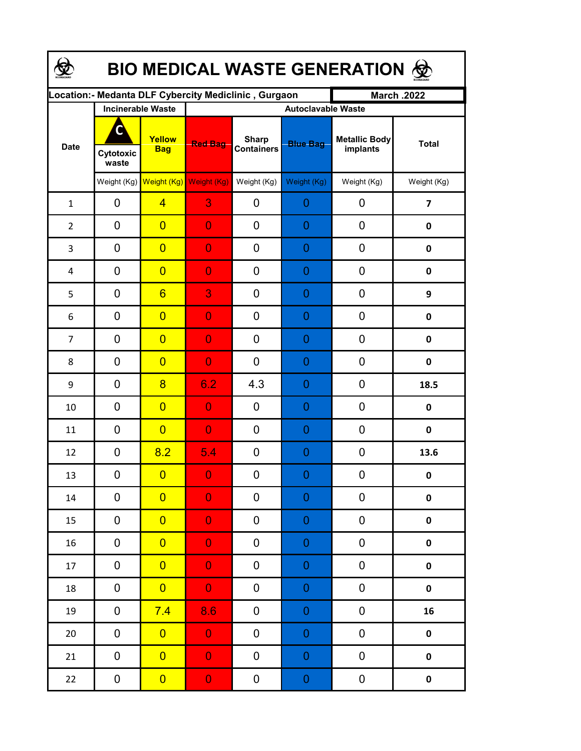| <b>BIO MEDICAL WASTE GENERATION ®</b> |                          |                      |                                                       |                                   |                  |                           |                         |  |  |  |
|---------------------------------------|--------------------------|----------------------|-------------------------------------------------------|-----------------------------------|------------------|---------------------------|-------------------------|--|--|--|
|                                       |                          |                      | Location:- Medanta DLF Cybercity Mediclinic , Gurgaon |                                   |                  | <b>March .2022</b>        |                         |  |  |  |
|                                       | <b>Incinerable Waste</b> |                      | <b>Autoclavable Waste</b>                             |                                   |                  |                           |                         |  |  |  |
| <b>Date</b>                           | C<br>Cytotoxic<br>waste  | Yellow<br><b>Bag</b> | <b>Red Bag</b>                                        | <b>Sharp</b><br><b>Containers</b> | <b>Blue Bag</b>  | Metallic Body<br>implants | <b>Total</b>            |  |  |  |
|                                       |                          |                      | Weight (Kg) Weight (Kg) Weight (Kg)                   | Weight (Kg)                       | Weight (Kg)      | Weight (Kg)               | Weight (Kg)             |  |  |  |
| $\mathbf{1}$                          | 0                        | $\overline{4}$       | 3                                                     | 0                                 | $\overline{0}$   | 0                         | $\overline{\mathbf{z}}$ |  |  |  |
| $\overline{2}$                        | 0                        | $\overline{0}$       | $\overline{0}$                                        | $\mathbf 0$                       | 0                | 0                         | $\pmb{0}$               |  |  |  |
| 3                                     | 0                        | $\overline{0}$       | $\overline{0}$                                        | 0                                 | $\overline{0}$   | 0                         | $\pmb{0}$               |  |  |  |
| 4                                     | 0                        | $\overline{0}$       | $\overline{0}$                                        | 0                                 | 0                | 0                         | $\pmb{0}$               |  |  |  |
| 5                                     | 0                        | $6\overline{6}$      | 3                                                     | 0                                 | $\overline{0}$   | 0                         | 9                       |  |  |  |
| 6                                     | 0                        | $\overline{0}$       | $\overline{0}$                                        | 0                                 | $\overline{0}$   | 0                         | $\pmb{0}$               |  |  |  |
| $\overline{7}$                        | 0                        | $\overline{0}$       | $\overline{0}$                                        | 0                                 | $\overline{0}$   | 0                         | $\pmb{0}$               |  |  |  |
| 8                                     | 0                        | $\overline{0}$       | $\overline{0}$                                        | 0                                 | $\overline{0}$   | 0                         | $\mathbf 0$             |  |  |  |
| 9                                     | 0                        | $\overline{8}$       | 6.2                                                   | 4.3                               | $\overline{0}$   | 0                         | 18.5                    |  |  |  |
| 10                                    | 0                        | $\overline{0}$       | $\overline{0}$                                        | 0                                 | $\overline{0}$   | 0                         | 0                       |  |  |  |
| 11                                    | 0                        | $\overline{0}$       | $\overline{0}$                                        | $\overline{0}$                    | $\overline{0}$   | 0                         | $\mathbf 0$             |  |  |  |
| 12                                    | 0                        | 8.2                  | 5.4                                                   | 0                                 | $\overline{0}$   | 0                         | 13.6                    |  |  |  |
| 13                                    | 0                        | $\overline{0}$       | $\Omega$                                              | 0                                 | $\Omega$         | 0                         | $\mathbf{0}$            |  |  |  |
| $14\,$                                | 0                        | $\overline{0}$       | $\overline{0}$                                        | 0                                 | 0                | 0                         | $\pmb{0}$               |  |  |  |
| 15                                    | 0                        | $\overline{0}$       | $\overline{0}$                                        | 0                                 | $\boldsymbol{0}$ | 0                         | $\pmb{0}$               |  |  |  |
| 16                                    | 0                        | $\overline{0}$       | $\overline{0}$                                        | 0                                 | $\mathbf 0$      | 0                         | $\pmb{0}$               |  |  |  |
| 17                                    | $\pmb{0}$                | $\overline{0}$       | $\overline{0}$                                        | 0                                 | $\boldsymbol{0}$ | 0                         | $\pmb{0}$               |  |  |  |
| 18                                    | 0                        | $\overline{0}$       | $\mathbf{0}$                                          | 0                                 | $\boldsymbol{0}$ | 0                         | $\pmb{0}$               |  |  |  |
| 19                                    | 0                        | 7.4                  | 8.6                                                   | 0                                 | $\boldsymbol{0}$ | 0                         | 16                      |  |  |  |
| $20\,$                                | 0                        | $\overline{0}$       | $\mathbf{0}$                                          | 0                                 | $\boldsymbol{0}$ | 0                         | $\pmb{0}$               |  |  |  |
| 21                                    | $\pmb{0}$                | $\overline{0}$       | $\overline{0}$                                        | 0                                 | $\boldsymbol{0}$ | $\pmb{0}$                 | $\pmb{0}$               |  |  |  |
| 22                                    | $\boldsymbol{0}$         | $\overline{0}$       | $\mathbf{0}$                                          | 0                                 | $\boldsymbol{0}$ | $\pmb{0}$                 | $\pmb{0}$               |  |  |  |